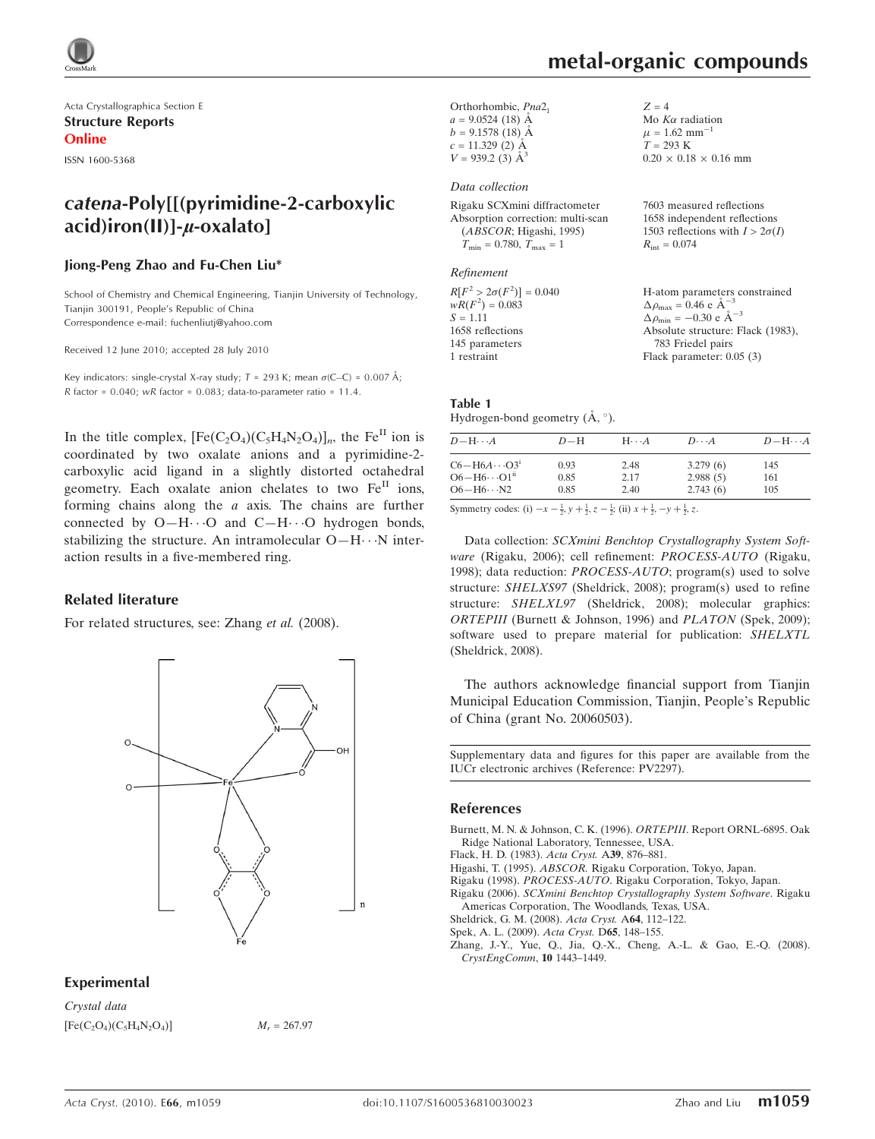

Acta Crystallographica Section E Structure Reports Online

ISSN 1600-5368

# catena-Poly[[(pyrimidine-2-carboxylic  $acid$ ) iron(II)]- $u$ -oxalato]

#### Jiong-Peng Zhao and Fu-Chen Liu\*

School of Chemistry and Chemical Engineering, Tianjin University of Technology, Tianjin 300191, People's Republic of China Correspondence e-mail: fuchenliutj@yahoo.com

Received 12 June 2010; accepted 28 July 2010

Key indicators: single-crystal X-ray study;  $T = 293$  K; mean  $\sigma$ (C–C) = 0.007 Å; R factor =  $0.040$ ; wR factor =  $0.083$ ; data-to-parameter ratio =  $11.4$ .

In the title complex,  $[Fe(C_2O_4)(C_5H_4N_2O_4)]_n$ , the Fe<sup>II</sup> ion is coordinated by two oxalate anions and a pyrimidine-2 carboxylic acid ligand in a slightly distorted octahedral geometry. Each oxalate anion chelates to two  $Fe<sup>H</sup>$  ions, forming chains along the  $a$  axis. The chains are further connected by  $O-H\cdots O$  and  $C-H\cdots O$  hydrogen bonds, stabilizing the structure. An intramolecular  $O-H\cdots N$  interaction results in a five-membered ring.

#### Related literature

For related structures, see: Zhang et al. (2008).



### Experimental

Crystal data  $[Fe(C_2O_4)(C_5H_4N_2O_4)]$   $M_r = 267.97$ 

Mo  $K\alpha$  radiation  $\mu = 1.62$  mm<sup>-1</sup>  $T = 293 K$ 

 $R_{\text{int}} = 0.074$ 

 $0.20 \times 0.18 \times 0.16$  mm

7603 measured reflections 1658 independent reflections 1503 reflections with  $I > 2\sigma(I)$ 

 $Z = 4$ 

Orthorhombic, Pna2<sub>1</sub>  $a = 9.0524(18)$  Å  $b = 9.1578(18)$  Å  $c = 11.329$  (2) Å  $V = 939.2$  (3)  $\AA$ <sup>3</sup>

#### Data collection

Rigaku SCXmini diffractometer Absorption correction: multi-scan (ABSCOR; Higashi, 1995)  $T_{\text{min}} = 0.780, T_{\text{max}} = 1$ 

#### Refinement

| H-atom parameters constrained<br>$\Delta \rho_{\text{max}} = 0.46 \text{ e A}^{-3}$ |
|-------------------------------------------------------------------------------------|
| $\Delta \rho_{\text{min}} = -0.30$ e $\AA^{-3}$                                     |
| Absolute structure: Flack (1983),                                                   |
| 783 Friedel pairs                                                                   |
| Flack parameter: $0.05(3)$                                                          |
|                                                                                     |

#### Table 1 Hydrogen-bond geometry  $(\AA, \degree)$ .

| $D - H \cdots A$         | $D-H$ | $H\cdots A$ | $D\cdots A$ | $D - H \cdots A$ |
|--------------------------|-------|-------------|-------------|------------------|
| $C6 - H6A \cdots O3^1$   | 0.93  | 2.48        | 3.279(6)    | 145              |
| $O6 - H6 \cdots O1^{ii}$ | 0.85  | 2.17        | 2.988(5)    | 161              |
| $O6 - H6 \cdots N2$      | 0.85  | 2.40        | 2.743(6)    | 105              |

Symmetry codes: (i)  $-x - \frac{1}{2}$ ,  $y + \frac{1}{2}$ ,  $z - \frac{1}{2}$ ; (ii)  $x + \frac{1}{2}$ ,  $-y + \frac{1}{2}$ , z.

Data collection: SCXmini Benchtop Crystallography System Software (Rigaku, 2006); cell refinement: PROCESS-AUTO (Rigaku, 1998); data reduction: PROCESS-AUTO; program(s) used to solve structure: SHELXS97 (Sheldrick, 2008); program(s) used to refine structure: SHELXL97 (Sheldrick, 2008); molecular graphics: ORTEPIII (Burnett & Johnson, 1996) and PLATON (Spek, 2009); software used to prepare material for publication: SHELXTL (Sheldrick, 2008).

The authors acknowledge financial support from Tianjin Municipal Education Commission, Tianjin, People's Republic of China (grant No. 20060503).

Supplementary data and figures for this paper are available from the IUCr electronic archives (Reference: PV2297).

#### References

[Burnett, M. N. & Johnson, C. K. \(1996\).](https://scripts.iucr.org/cgi-bin/cr.cgi?rm=pdfbb&cnor=pv2297&bbid=BB1) ORTEPIII. Report ORNL-6895. Oak [Ridge National Laboratory, Tennessee, USA.](https://scripts.iucr.org/cgi-bin/cr.cgi?rm=pdfbb&cnor=pv2297&bbid=BB1)

[Flack, H. D. \(1983\).](https://scripts.iucr.org/cgi-bin/cr.cgi?rm=pdfbb&cnor=pv2297&bbid=BB2) Acta Cryst. A39, 876–881.

- Higashi, T. (1995). ABSCOR. [Rigaku Corporation, Tokyo, Japan.](https://scripts.iucr.org/cgi-bin/cr.cgi?rm=pdfbb&cnor=pv2297&bbid=BB3)
- Rigaku (1998). PROCESS-AUTO[. Rigaku Corporation, Tokyo, Japan.](https://scripts.iucr.org/cgi-bin/cr.cgi?rm=pdfbb&cnor=pv2297&bbid=BB4)
- Rigaku (2006). [SCXmini Benchtop Crystallography System Software](https://scripts.iucr.org/cgi-bin/cr.cgi?rm=pdfbb&cnor=pv2297&bbid=BB5). Rigaku [Americas Corporation, The Woodlands, Texas, USA.](https://scripts.iucr.org/cgi-bin/cr.cgi?rm=pdfbb&cnor=pv2297&bbid=BB5)
- [Sheldrick, G. M. \(2008\).](https://scripts.iucr.org/cgi-bin/cr.cgi?rm=pdfbb&cnor=pv2297&bbid=BB6) Acta Cryst. A64, 112–122.

[Spek, A. L. \(2009\).](https://scripts.iucr.org/cgi-bin/cr.cgi?rm=pdfbb&cnor=pv2297&bbid=BB7) Acta Cryst. D65, 148–155.

[Zhang, J.-Y., Yue, Q., Jia, Q.-X., Cheng, A.-L. & Gao, E.-Q. \(2008\).](https://scripts.iucr.org/cgi-bin/cr.cgi?rm=pdfbb&cnor=pv2297&bbid=BB8) [CrystEngComm](https://scripts.iucr.org/cgi-bin/cr.cgi?rm=pdfbb&cnor=pv2297&bbid=BB8), 10 1443–1449.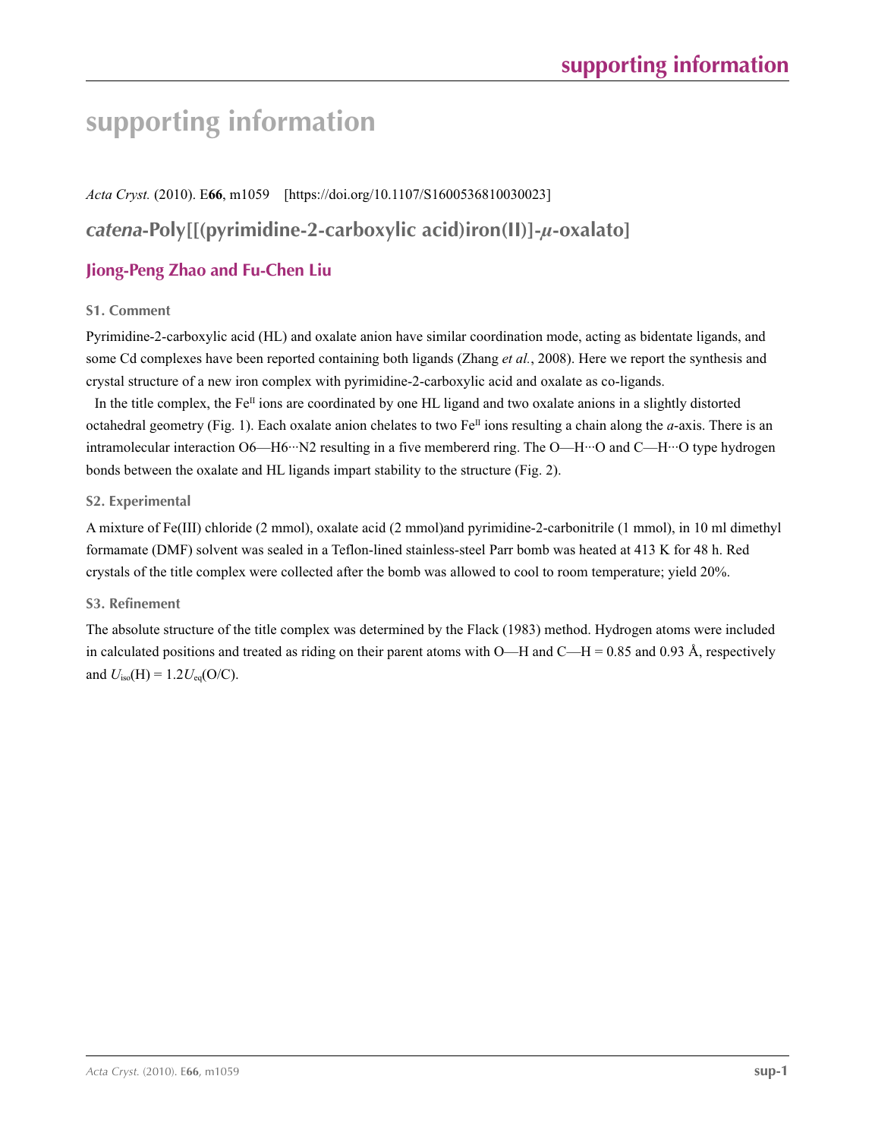# **supporting information**

*Acta Cryst.* (2010). E**66**, m1059 [https://doi.org/10.1107/S1600536810030023] *catena***-Poly[[(pyrimidine-2-carboxylic acid)iron(II)]-***µ***-oxalato]**

# **Jiong-Peng Zhao and Fu-Chen Liu**

## **S1. Comment**

Pyrimidine-2-carboxylic acid (HL) and oxalate anion have similar coordination mode, acting as bidentate ligands, and some Cd complexes have been reported containing both ligands (Zhang *et al.*, 2008). Here we report the synthesis and crystal structure of a new iron complex with pyrimidine-2-carboxylic acid and oxalate as co-ligands.

In the title complex, the  $Fe^{II}$  ions are coordinated by one HL ligand and two oxalate anions in a slightly distorted octahedral geometry (Fig. 1). Each oxalate anion chelates to two Fe<sup>II</sup> ions resulting a chain along the *a*-axis. There is an intramolecular interaction O6—H6···N2 resulting in a five membererd ring. The O—H···O and C—H···O type hydrogen bonds between the oxalate and HL ligands impart stability to the structure (Fig. 2).

### **S2. Experimental**

A mixture of Fe(III) chloride (2 mmol), oxalate acid (2 mmol)and pyrimidine-2-carbonitrile (1 mmol), in 10 ml dimethyl formamate (DMF) solvent was sealed in a Teflon-lined stainless-steel Parr bomb was heated at 413 K for 48 h. Red crystals of the title complex were collected after the bomb was allowed to cool to room temperature; yield 20%.

### **S3. Refinement**

The absolute structure of the title complex was determined by the Flack (1983) method. Hydrogen atoms were included in calculated positions and treated as riding on their parent atoms with  $O$ —H and  $C$ —H = 0.85 and 0.93 Å, respectively and  $U_{\text{iso}}(H) = 1.2 U_{\text{eq}}(O/C)$ .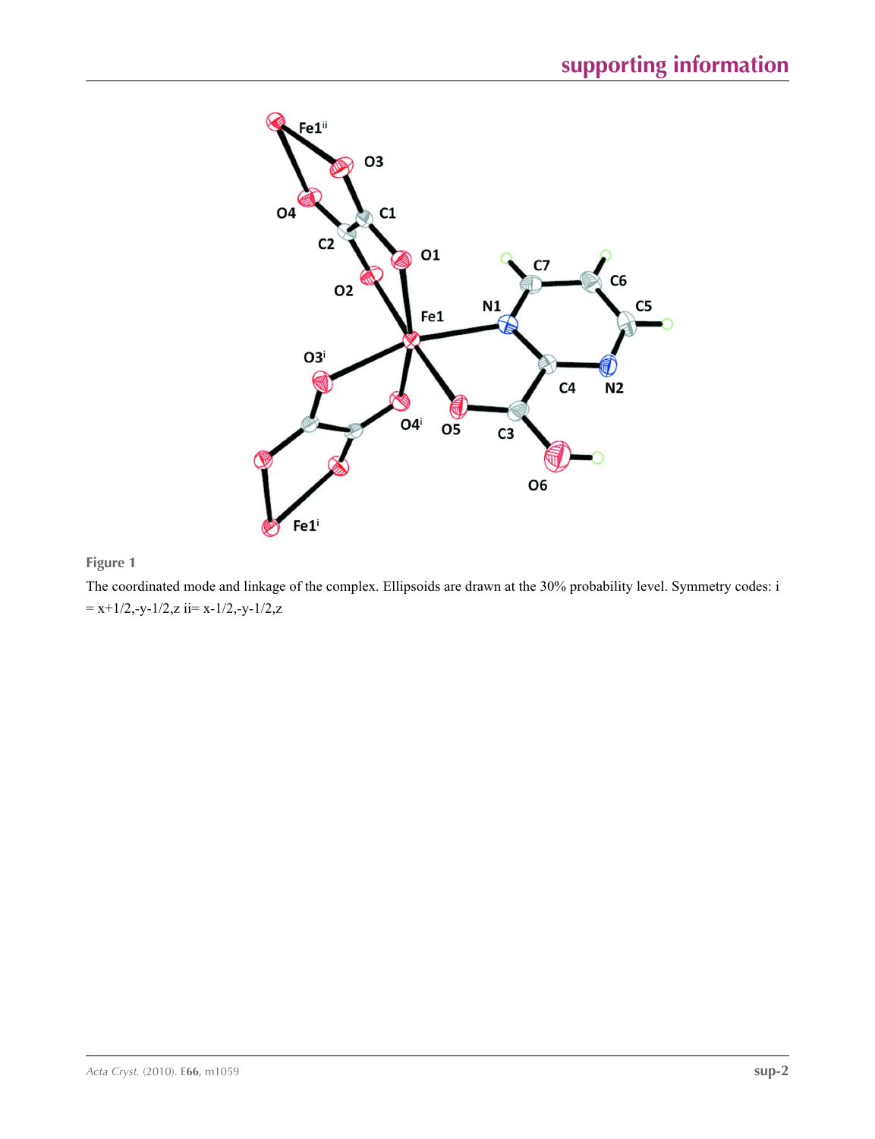

## **Figure 1**

The coordinated mode and linkage of the complex. Ellipsoids are drawn at the 30% probability level. Symmetry codes: i  $= x+1/2, -y-1/2, z$  ii $= x-1/2, -y-1/2, z$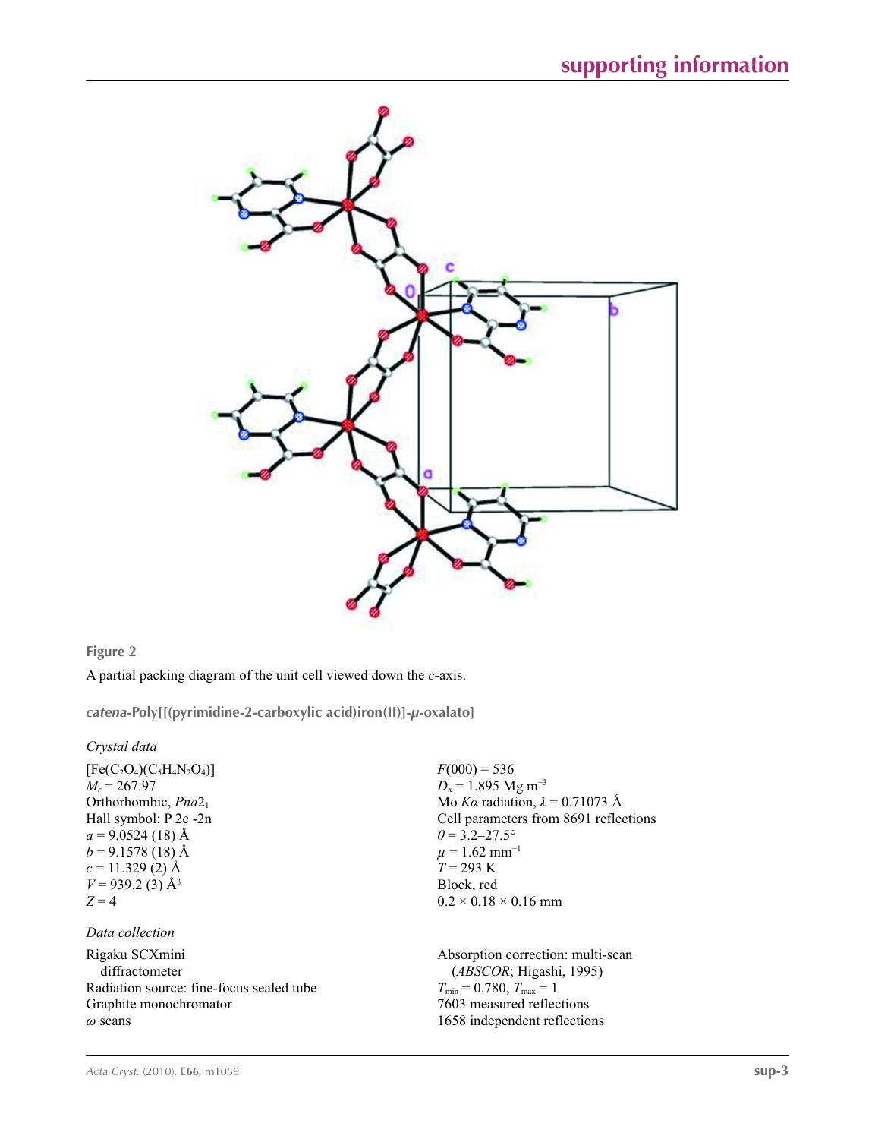

**Figure 2**

A partial packing diagram of the unit cell viewed down the *c*-axis.

*catena***-Poly[[(pyrimidine-2-carboxylic acid)iron(II)]-***µ***-oxalato]** 

*Crystal data*

 $[Fe(C_2O_4)(C_5H_4N_2O_4)]$  $M_r = 267.97$ Orthorhombic, *Pna*21 Hall symbol: P 2c -2n  $a = 9.0524(18)$  Å  $b = 9.1578(18)$  Å  $c = 11.329(2)$  Å  $V = 939.2$  (3) Å<sup>3</sup>  $Z = 4$ 

### *Data collection*

Rigaku SCXmini diffractometer Radiation source: fine-focus sealed tube Graphite monochromator *ω* scans

 $F(000) = 536$  $D_x = 1.895$  Mg m<sup>-3</sup> Mo *Kα* radiation, *λ* = 0.71073 Å Cell parameters from 8691 reflections  $\theta$  = 3.2–27.5°  $\mu$  = 1.62 mm<sup>-1</sup> *T* = 293 K Block, red  $0.2 \times 0.18 \times 0.16$  mm

Absorption correction: multi-scan (*ABSCOR*; Higashi, 1995)  $T_{\min} = 0.780, T_{\max} = 1$ 7603 measured reflections 1658 independent reflections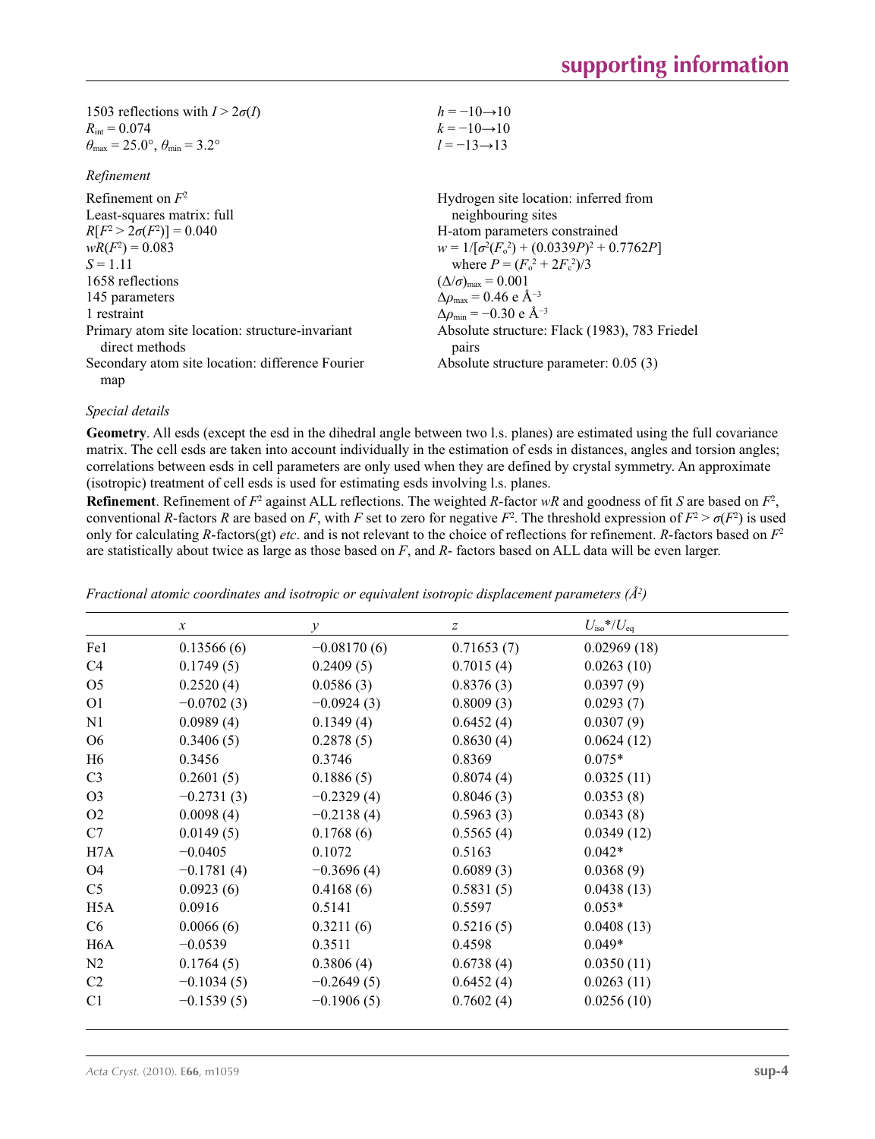| 1503 reflections with $I > 2\sigma(I)$                                  | $h = -10 \rightarrow 10$ |
|-------------------------------------------------------------------------|--------------------------|
| $R_{\rm int} = 0.074$                                                   | $k = -10 \rightarrow 10$ |
| $\theta_{\text{max}} = 25.0^{\circ}, \theta_{\text{min}} = 3.2^{\circ}$ | $l = -13 \rightarrow 13$ |

## *Refinement*

| Refinement on $F^2$                                               | Hydrogen site location: inferred from                     |
|-------------------------------------------------------------------|-----------------------------------------------------------|
| Least-squares matrix: full                                        | neighbouring sites                                        |
| $R[F^2 > 2\sigma(F^2)] = 0.040$                                   | H-atom parameters constrained                             |
| $wR(F^2) = 0.083$                                                 | $w = 1/[\sigma^2(F_0^2) + (0.0339P)^2 + 0.7762P]$         |
| $S = 1.11$                                                        | where $P = (F_o^2 + 2F_c^2)/3$                            |
| 1658 reflections                                                  | $(\Delta/\sigma)_{\text{max}} = 0.001$                    |
| 145 parameters                                                    | $\Delta\rho_{\text{max}} = 0.46$ e Å <sup>-3</sup>        |
| 1 restraint                                                       | $\Delta\rho_{\rm min} = -0.30 \text{ e } \text{\AA}^{-3}$ |
| Primary atom site location: structure-invariant<br>direct methods | Absolute structure: Flack (1983), 783 Friedel<br>pairs    |
| Secondary atom site location: difference Fourier                  | Absolute structure parameter: $0.05(3)$                   |
| map                                                               |                                                           |

#### *Special details*

**Geometry**. All esds (except the esd in the dihedral angle between two l.s. planes) are estimated using the full covariance matrix. The cell esds are taken into account individually in the estimation of esds in distances, angles and torsion angles; correlations between esds in cell parameters are only used when they are defined by crystal symmetry. An approximate (isotropic) treatment of cell esds is used for estimating esds involving l.s. planes.

**Refinement**. Refinement of  $F^2$  against ALL reflections. The weighted *R*-factor  $wR$  and goodness of fit *S* are based on  $F^2$ , conventional *R*-factors *R* are based on *F*, with *F* set to zero for negative *F*<sup>2</sup>. The threshold expression of  $F^2 > \sigma(F^2)$  is used only for calculating *R*-factors(gt) *etc*. and is not relevant to the choice of reflections for refinement. *R*-factors based on *F*<sup>2</sup> are statistically about twice as large as those based on *F*, and *R*- factors based on ALL data will be even larger.

|                  | $\mathcal{X}$ | $\mathcal{Y}$ | $\boldsymbol{Z}$ | $U_{\rm iso}*/U_{\rm eq}$ |  |
|------------------|---------------|---------------|------------------|---------------------------|--|
| Fe1              | 0.13566(6)    | $-0.08170(6)$ | 0.71653(7)       | 0.02969(18)               |  |
| C4               | 0.1749(5)     | 0.2409(5)     | 0.7015(4)        | 0.0263(10)                |  |
| O <sub>5</sub>   | 0.2520(4)     | 0.0586(3)     | 0.8376(3)        | 0.0397(9)                 |  |
| O <sub>1</sub>   | $-0.0702(3)$  | $-0.0924(3)$  | 0.8009(3)        | 0.0293(7)                 |  |
| N1               | 0.0989(4)     | 0.1349(4)     | 0.6452(4)        | 0.0307(9)                 |  |
| O <sub>6</sub>   | 0.3406(5)     | 0.2878(5)     | 0.8630(4)        | 0.0624(12)                |  |
| H6               | 0.3456        | 0.3746        | 0.8369           | $0.075*$                  |  |
| C <sub>3</sub>   | 0.2601(5)     | 0.1886(5)     | 0.8074(4)        | 0.0325(11)                |  |
| O <sub>3</sub>   | $-0.2731(3)$  | $-0.2329(4)$  | 0.8046(3)        | 0.0353(8)                 |  |
| O <sub>2</sub>   | 0.0098(4)     | $-0.2138(4)$  | 0.5963(3)        | 0.0343(8)                 |  |
| C7               | 0.0149(5)     | 0.1768(6)     | 0.5565(4)        | 0.0349(12)                |  |
| H <sub>7</sub> A | $-0.0405$     | 0.1072        | 0.5163           | $0.042*$                  |  |
| O <sub>4</sub>   | $-0.1781(4)$  | $-0.3696(4)$  | 0.6089(3)        | 0.0368(9)                 |  |
| C <sub>5</sub>   | 0.0923(6)     | 0.4168(6)     | 0.5831(5)        | 0.0438(13)                |  |
| H <sub>5</sub> A | 0.0916        | 0.5141        | 0.5597           | $0.053*$                  |  |
| C <sub>6</sub>   | 0.0066(6)     | 0.3211(6)     | 0.5216(5)        | 0.0408(13)                |  |
| H <sub>6</sub> A | $-0.0539$     | 0.3511        | 0.4598           | $0.049*$                  |  |
| N <sub>2</sub>   | 0.1764(5)     | 0.3806(4)     | 0.6738(4)        | 0.0350(11)                |  |
| C2               | $-0.1034(5)$  | $-0.2649(5)$  | 0.6452(4)        | 0.0263(11)                |  |
| C <sub>1</sub>   | $-0.1539(5)$  | $-0.1906(5)$  | 0.7602(4)        | 0.0256(10)                |  |

*Fractional atomic coordinates and isotropic or equivalent isotropic displacement parameters (Å<sup>2</sup>)*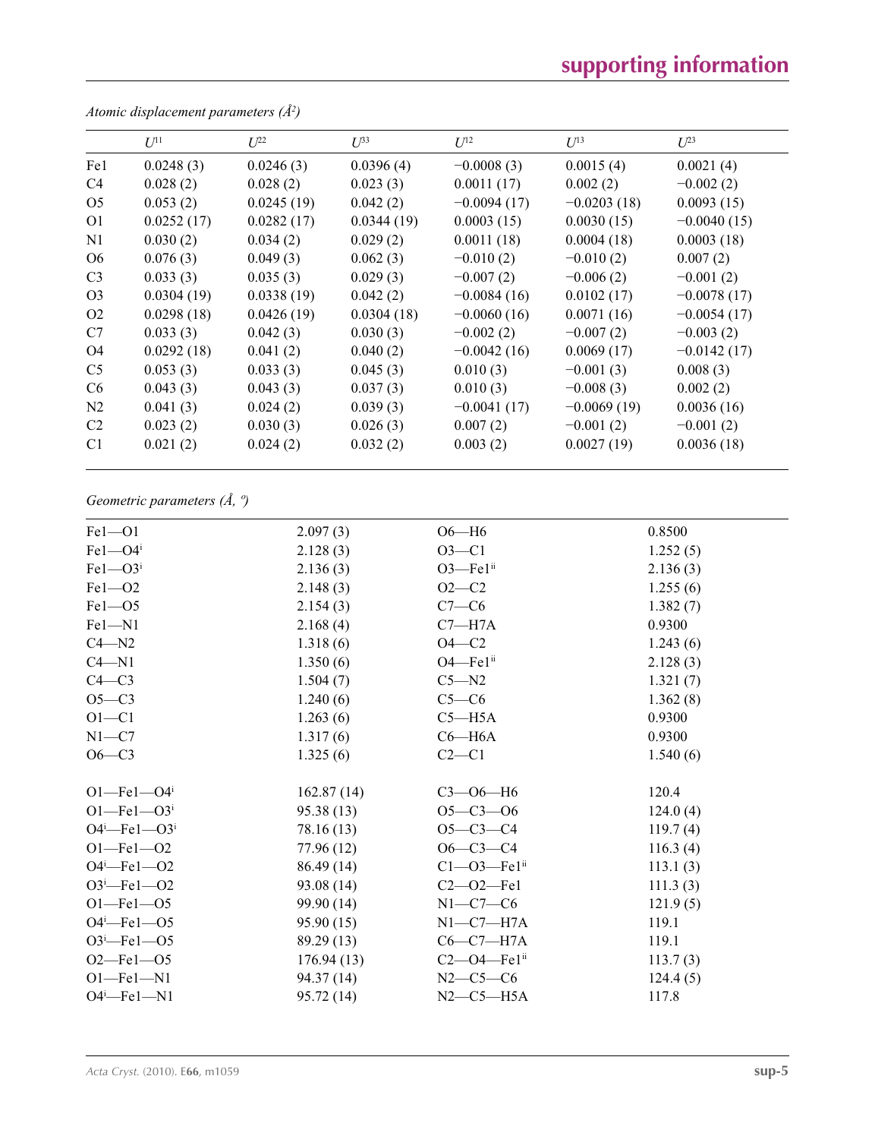# **supporting information**

|                | $U^{11}$   | $\mathcal{I}^{22}$ | $\mathcal{L}^{\beta 3}$ | $U^{12}$      | $U^{13}$      | $L^{23}$      |
|----------------|------------|--------------------|-------------------------|---------------|---------------|---------------|
| Fe1            | 0.0248(3)  | 0.0246(3)          | 0.0396(4)               | $-0.0008(3)$  | 0.0015(4)     | 0.0021(4)     |
| C <sub>4</sub> | 0.028(2)   | 0.028(2)           | 0.023(3)                | 0.0011(17)    | 0.002(2)      | $-0.002(2)$   |
| O <sub>5</sub> | 0.053(2)   | 0.0245(19)         | 0.042(2)                | $-0.0094(17)$ | $-0.0203(18)$ | 0.0093(15)    |
| O <sub>1</sub> | 0.0252(17) | 0.0282(17)         | 0.0344(19)              | 0.0003(15)    | 0.0030(15)    | $-0.0040(15)$ |
| N <sub>1</sub> | 0.030(2)   | 0.034(2)           | 0.029(2)                | 0.0011(18)    | 0.0004(18)    | 0.0003(18)    |
| O <sub>6</sub> | 0.076(3)   | 0.049(3)           | 0.062(3)                | $-0.010(2)$   | $-0.010(2)$   | 0.007(2)      |
| C <sub>3</sub> | 0.033(3)   | 0.035(3)           | 0.029(3)                | $-0.007(2)$   | $-0.006(2)$   | $-0.001(2)$   |
| O <sub>3</sub> | 0.0304(19) | 0.0338(19)         | 0.042(2)                | $-0.0084(16)$ | 0.0102(17)    | $-0.0078(17)$ |
| O <sub>2</sub> | 0.0298(18) | 0.0426(19)         | 0.0304(18)              | $-0.0060(16)$ | 0.0071(16)    | $-0.0054(17)$ |
| C7             | 0.033(3)   | 0.042(3)           | 0.030(3)                | $-0.002(2)$   | $-0.007(2)$   | $-0.003(2)$   |
| O <sub>4</sub> | 0.0292(18) | 0.041(2)           | 0.040(2)                | $-0.0042(16)$ | 0.0069(17)    | $-0.0142(17)$ |
| C <sub>5</sub> | 0.053(3)   | 0.033(3)           | 0.045(3)                | 0.010(3)      | $-0.001(3)$   | 0.008(3)      |
| C <sub>6</sub> | 0.043(3)   | 0.043(3)           | 0.037(3)                | 0.010(3)      | $-0.008(3)$   | 0.002(2)      |
| N <sub>2</sub> | 0.041(3)   | 0.024(2)           | 0.039(3)                | $-0.0041(17)$ | $-0.0069(19)$ | 0.0036(16)    |
| C <sub>2</sub> | 0.023(2)   | 0.030(3)           | 0.026(3)                | 0.007(2)      | $-0.001(2)$   | $-0.001(2)$   |
| C <sub>1</sub> | 0.021(2)   | 0.024(2)           | 0.032(2)                | 0.003(2)      | 0.0027(19)    | 0.0036(18)    |

*Atomic displacement parameters (Å2 )*

# *Geometric parameters (Å, º)*

| $Fe1 - O1$                    | 2.097(3)   | $O6-H6$                       | 0.8500   |
|-------------------------------|------------|-------------------------------|----------|
| $Fe1 - O4$ <sup>i</sup>       | 2.128(3)   | $O3 - C1$                     | 1.252(5) |
| $Fe1 - O3$ <sup>i</sup>       | 2.136(3)   | O3-Fe1ii                      | 2.136(3) |
| $Fe1 - O2$                    | 2.148(3)   | $O2 - C2$                     | 1.255(6) |
| $Fe1 - O5$                    | 2.154(3)   | $C7-C6$                       | 1.382(7) |
| $Fe1 - N1$                    | 2.168(4)   | $C7 - H7A$                    | 0.9300   |
| $C4 - N2$                     | 1.318(6)   | $O4-C2$                       | 1.243(6) |
| $C4 - N1$                     | 1.350(6)   | $O4$ —Fe $1ii$                | 2.128(3) |
| $C4 - C3$                     | 1.504(7)   | $C5 - N2$                     | 1.321(7) |
| $O5-C3$                       | 1.240(6)   | $C5-C6$                       | 1.362(8) |
| $O1 - C1$                     | 1.263(6)   | $C5 - H5A$                    | 0.9300   |
| $N1 - C7$                     | 1.317(6)   | $C6 - H6A$                    | 0.9300   |
| $O6-C3$                       | 1.325(6)   | $C2-C1$                       | 1.540(6) |
| $O1$ —Fe $1$ —O4 <sup>i</sup> | 162.87(14) | $C3 - 06 - H6$                | 120.4    |
| $O1 - Fe1 - O3$ <sup>i</sup>  | 95.38(13)  | $O5 - C3 - O6$                | 124.0(4) |
| $O4^i$ -Fel- $O3^i$           | 78.16 (13) | $O5 - C3 - C4$                | 119.7(4) |
| $O1 - Fe1 - O2$               | 77.96 (12) | $O6 - C3 - C4$                | 116.3(4) |
| $O4 - Fe1 - O2$               | 86.49 (14) | $C1 - 03 - Fe1$ <sup>ii</sup> | 113.1(3) |
| $O3^i$ -Fel- $O2$             | 93.08 (14) | $C2 - 02 - Fe1$               | 111.3(3) |
| $O1 - Fe1 - O5$               | 99.90 (14) | $N1-C7-C6$                    | 121.9(5) |
| $O4^i$ -Fel- $O5$             | 95.90(15)  | $N1-C7-H7A$                   | 119.1    |
| $O3^i$ -Fel- $O5$             | 89.29 (13) | $C6-C7-H7A$                   | 119.1    |
| $O2$ –Fel– $O5$               | 176.94(13) | $C2$ —O4—Fe1 <sup>ii</sup>    | 113.7(3) |
| $O1 - Fe1 - N1$               | 94.37 (14) | $N2-C5-C6$                    | 124.4(5) |
| $O4^i$ -Fel-N1                | 95.72 (14) | $N2-C5-H5A$                   | 117.8    |